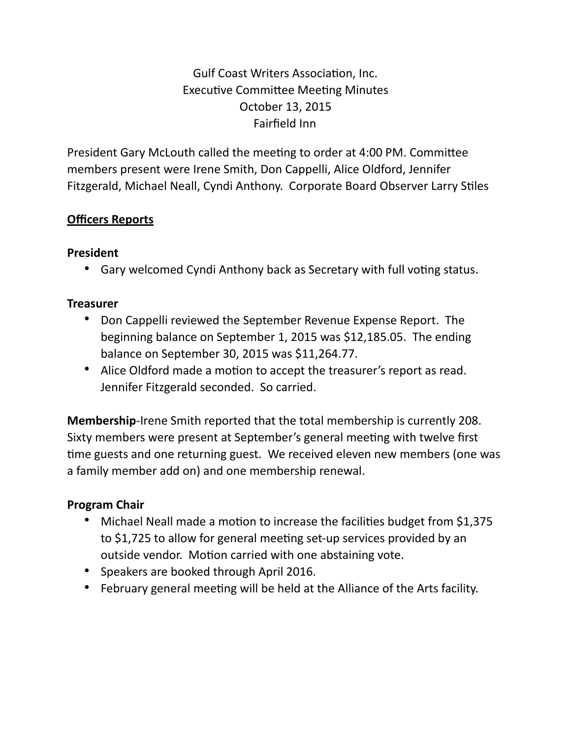Gulf Coast Writers Association, Inc. Executive Committee Meeting Minutes October 13, 2015 Fairfield Inn

President Gary McLouth called the meeting to order at 4:00 PM. Committee members present were Irene Smith, Don Cappelli, Alice Oldford, Jennifer Fitzgerald, Michael Neall, Cyndi Anthony. Corporate Board Observer Larry Stiles

## **Officers Reports**

## **President**

• Gary welcomed Cyndi Anthony back as Secretary with full voting status.

# **Treasurer**

- Don Cappelli reviewed the September Revenue Expense Report. The beginning balance on September 1, 2015 was \$12,185.05. The ending balance on September 30, 2015 was \$11,264.77.
- Alice Oldford made a motion to accept the treasurer's report as read. Jennifer Fitzgerald seconded. So carried.

**Membership**-Irene Smith reported that the total membership is currently 208. Sixty members were present at September's general meeting with twelve first time guests and one returning guest. We received eleven new members (one was a family member add on) and one membership renewal.

## **Program Chair**

- Michael Neall made a motion to increase the facilities budget from  $$1,375$ to \$1,725 to allow for general meeting set-up services provided by an outside vendor. Motion carried with one abstaining vote.
- Speakers are booked through April 2016.
- February general meeting will be held at the Alliance of the Arts facility.